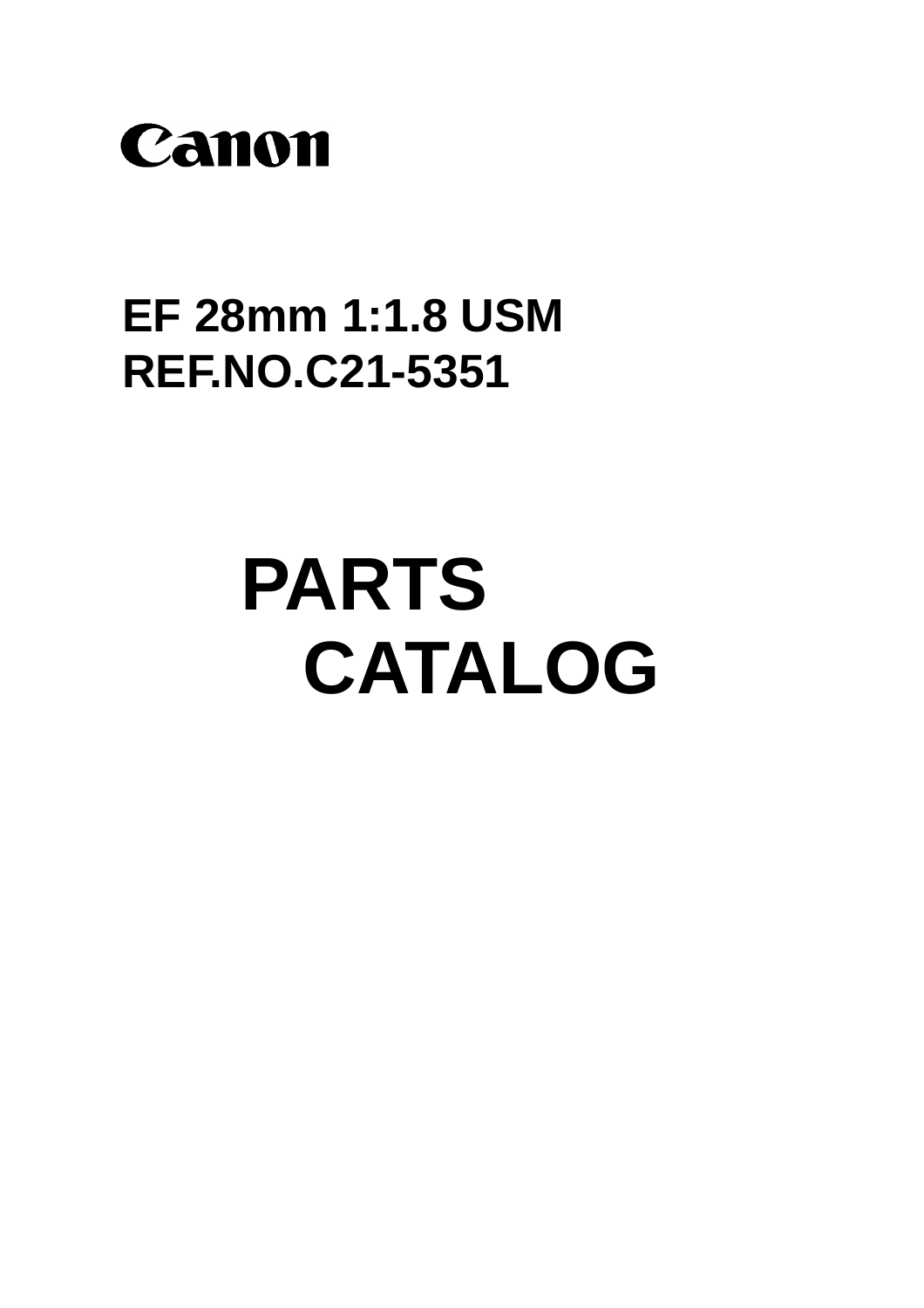

## **EF 28mm 1:1.8 USM REF.NO.C21-5351**

# **PARTS** CATALOG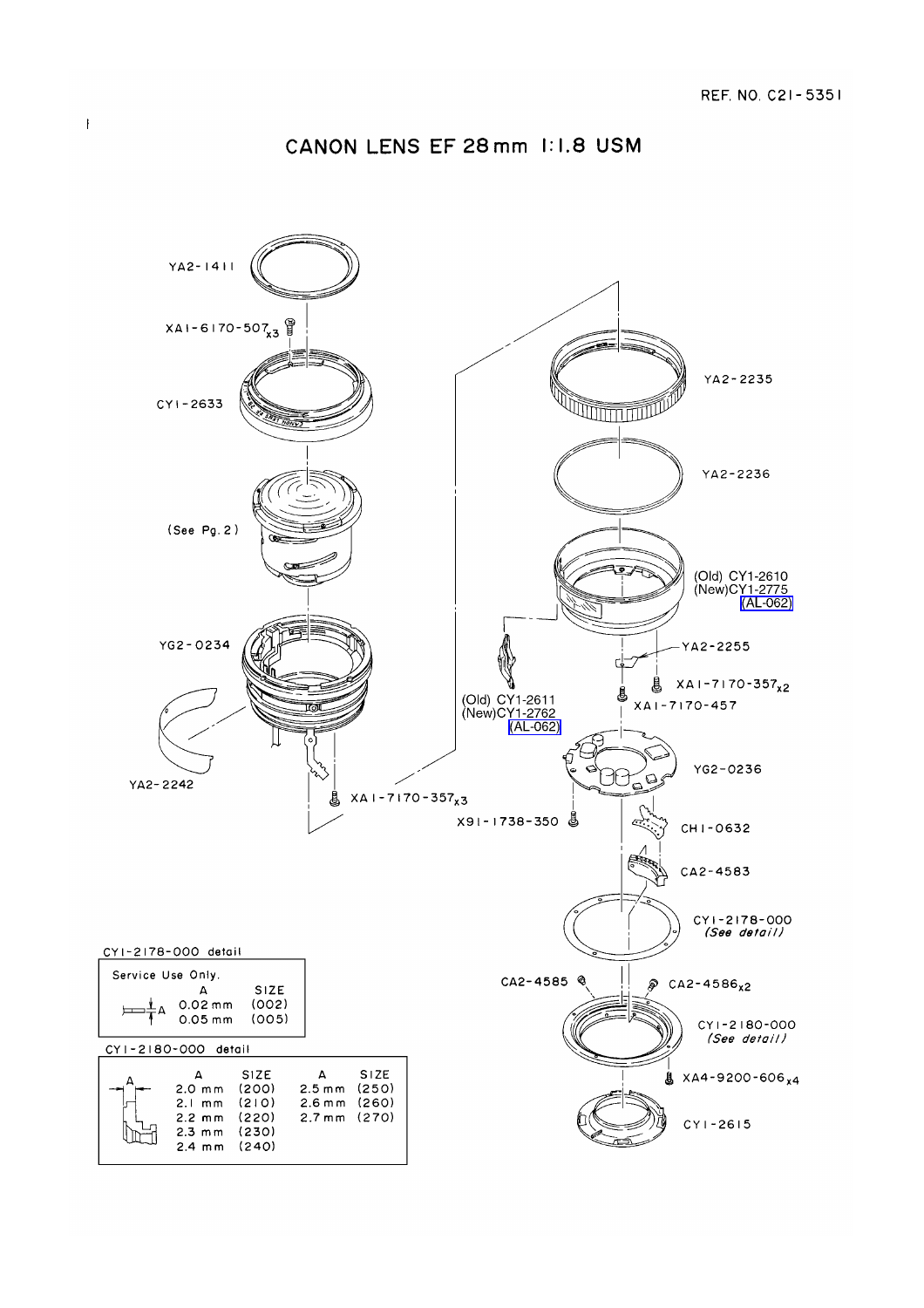#### CANON LENS EF 28 mm 1:1.8 USM

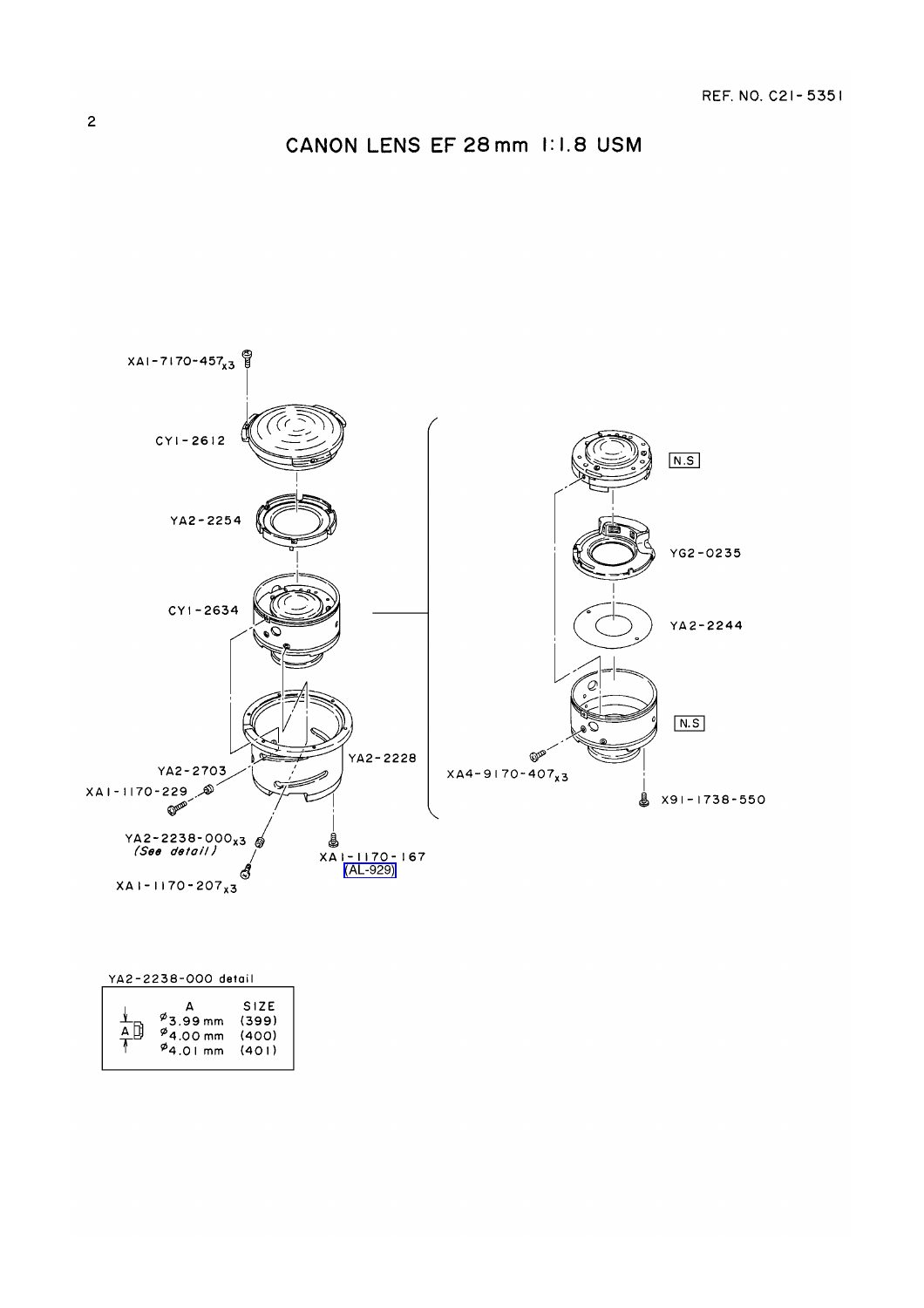#### CANON LENS EF 28 mm 1:1.8 USM



#### YA2-2238-000 detail

|  | $^{\phi}$ 3.99 mm<br>$^{9}$ 4.00 mm<br>$^{64.01}$ mm | <b>SIZE</b><br>(399)<br>(400)<br>(401) |
|--|------------------------------------------------------|----------------------------------------|
|--|------------------------------------------------------|----------------------------------------|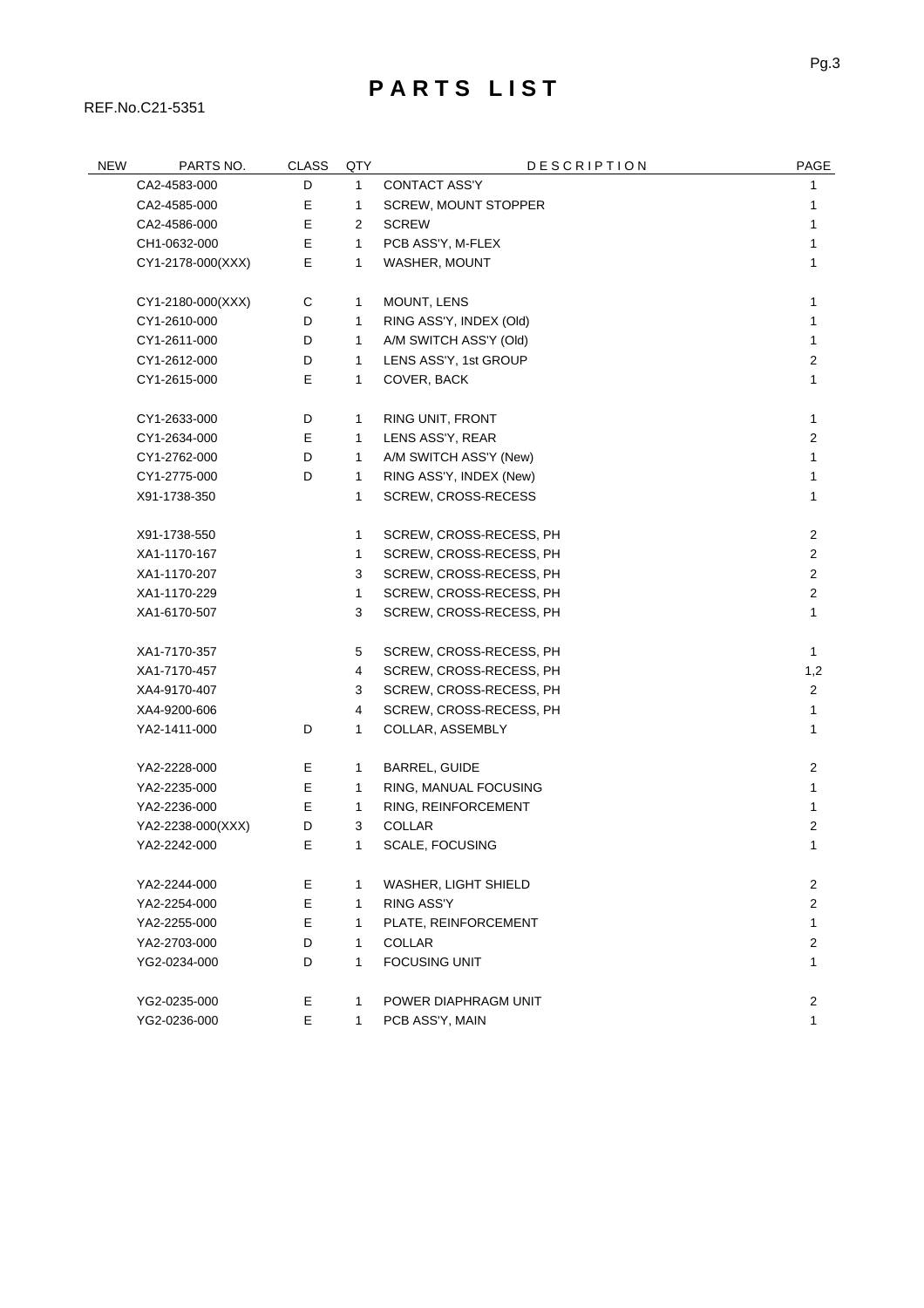### **P A R T S L I S T**

REF.No.C21-5351

| <b>NEW</b> | PARTS NO.         | <b>CLASS</b> | QTY          | <b>DESCRIPTION</b>      | PAGE                    |
|------------|-------------------|--------------|--------------|-------------------------|-------------------------|
|            | CA2-4583-000      | D            | $\mathbf{1}$ | <b>CONTACT ASS'Y</b>    | 1                       |
|            | CA2-4585-000      | Е            | 1            | SCREW, MOUNT STOPPER    | 1                       |
|            | CA2-4586-000      | Е            | 2            | <b>SCREW</b>            | 1                       |
|            | CH1-0632-000      | E            | 1            | PCB ASS'Y, M-FLEX       | 1                       |
|            | CY1-2178-000(XXX) | Е            | 1            | WASHER, MOUNT           | 1                       |
|            |                   |              |              |                         |                         |
|            | CY1-2180-000(XXX) | C            | 1            | MOUNT, LENS             | 1                       |
|            | CY1-2610-000      | D            | 1            | RING ASS'Y, INDEX (Old) | 1                       |
|            | CY1-2611-000      | D            | 1            | A/M SWITCH ASS'Y (Old)  | 1                       |
|            | CY1-2612-000      | D            | 1            | LENS ASS'Y, 1st GROUP   | $\overline{c}$          |
|            | CY1-2615-000      | E            | 1            | COVER, BACK             | 1                       |
|            |                   |              |              |                         |                         |
|            | CY1-2633-000      | D            | 1            | RING UNIT, FRONT        | 1                       |
|            | CY1-2634-000      | Е            | 1            | LENS ASS'Y, REAR        | $\overline{c}$          |
|            | CY1-2762-000      | D            | 1            | A/M SWITCH ASS'Y (New)  | 1                       |
|            | CY1-2775-000      | D            | 1            | RING ASS'Y, INDEX (New) | 1                       |
|            | X91-1738-350      |              | 1            | SCREW, CROSS-RECESS     | 1                       |
|            | X91-1738-550      |              | 1            | SCREW, CROSS-RECESS, PH | $\overline{c}$          |
|            | XA1-1170-167      |              | 1            | SCREW, CROSS-RECESS, PH | $\overline{c}$          |
|            | XA1-1170-207      |              | 3            | SCREW, CROSS-RECESS, PH | $\overline{\mathbf{c}}$ |
|            | XA1-1170-229      |              | 1            | SCREW, CROSS-RECESS, PH | $\overline{c}$          |
|            | XA1-6170-507      |              | 3            | SCREW, CROSS-RECESS, PH | 1                       |
|            |                   |              |              |                         |                         |
|            | XA1-7170-357      |              | 5            | SCREW, CROSS-RECESS, PH | $\mathbf{1}$            |
|            | XA1-7170-457      |              | 4            | SCREW, CROSS-RECESS, PH | 1,2                     |
|            | XA4-9170-407      |              | 3            | SCREW, CROSS-RECESS, PH | $\overline{2}$          |
|            | XA4-9200-606      |              | 4            | SCREW, CROSS-RECESS, PH | 1                       |
|            | YA2-1411-000      | D            | 1            | COLLAR, ASSEMBLY        | 1                       |
|            | YA2-2228-000      | Е            | 1            | <b>BARREL, GUIDE</b>    | $\overline{c}$          |
|            | YA2-2235-000      | Е            | 1            | RING, MANUAL FOCUSING   | 1                       |
|            | YA2-2236-000      | E            | 1            | RING, REINFORCEMENT     | 1                       |
|            | YA2-2238-000(XXX) | D            | 3            | COLLAR                  | 2                       |
|            | YA2-2242-000      | E            | 1            | SCALE, FOCUSING         | 1                       |
|            | YA2-2244-000      | Е            | 1            | WASHER, LIGHT SHIELD    | $\overline{c}$          |
|            | YA2-2254-000      | Е            | 1            | RING ASS'Y              | $\overline{2}$          |
|            | YA2-2255-000      | E            | 1            | PLATE, REINFORCEMENT    | $\mathbf 1$             |
|            | YA2-2703-000      | D            | 1            | <b>COLLAR</b>           | $\overline{c}$          |
|            | YG2-0234-000      | D            | $\mathbf{1}$ | <b>FOCUSING UNIT</b>    | 1                       |
|            |                   |              |              |                         |                         |
|            | YG2-0235-000      | Е            | 1            | POWER DIAPHRAGM UNIT    | $\mathbf{2}$            |
|            | YG2-0236-000      | Е            | 1            | PCB ASS'Y, MAIN         | 1                       |